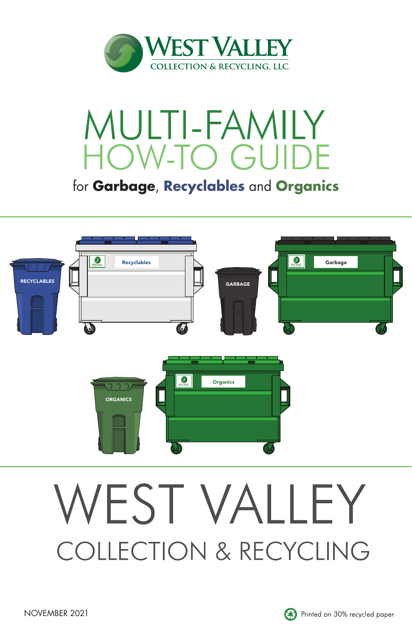

## MULTI-FAMILY **HOW-TO GUID**

for **Garbage**, **Recyclables** and **Organics**



# WEST VALLEY **COLLECTION & RECYCLING**

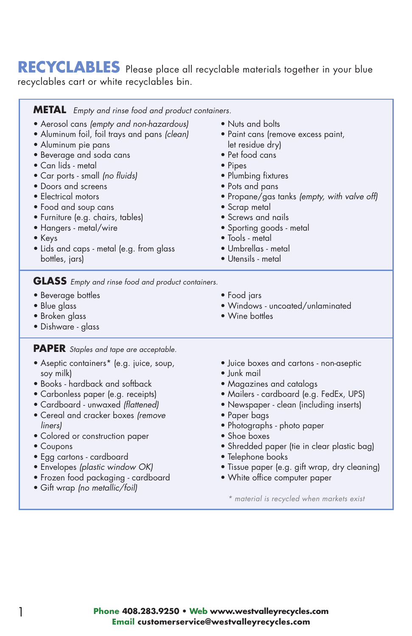## **RECYCLABLES** Please place all recyclable materials together in your blue recyclables cart or white recyclables bin.

| <b>METAL</b> Empty and rinse food and product containers.                                                                                                                                                                                                                                                                                                                                                                 |                                                                                                                                                                                                                                                                                                                                                              |
|---------------------------------------------------------------------------------------------------------------------------------------------------------------------------------------------------------------------------------------------------------------------------------------------------------------------------------------------------------------------------------------------------------------------------|--------------------------------------------------------------------------------------------------------------------------------------------------------------------------------------------------------------------------------------------------------------------------------------------------------------------------------------------------------------|
| • Aerosol cans (empty and non-hazardous)<br>• Aluminum foil, foil trays and pans (clean)<br>· Aluminum pie pans<br>• Beverage and soda cans<br>• Can lids - metal<br>· Car ports - small (no fluids)<br>• Doors and screens<br>• Electrical motors<br>• Food and soup cans<br>• Furniture (e.g. chairs, tables)<br>• Hangers - metal/wire<br>$\bullet$ Keys<br>• Lids and caps - metal (e.g. from glass<br>bottles, jars) | • Nuts and bolts<br>• Paint cans (remove excess paint,<br>let residue dry)<br>• Pet food cans<br>• Pipes<br>· Plumbing fixtures<br>• Pots and pans<br>• Propane/gas tanks (empty, with valve off)<br>• Scrap metal<br>• Screws and nails<br>• Sporting goods - metal<br>• Tools - metal<br>• Umbrellas - metal<br>· Utensils - metal                         |
| <b>GLASS</b> Empty and rinse food and product containers.<br>· Beverage bottles<br>• Blue glass<br>· Broken glass<br>• Dishware - glass                                                                                                                                                                                                                                                                                   | • Food jars<br>• Windows - uncoated/unlaminated<br>• Wine bottles                                                                                                                                                                                                                                                                                            |
| <b>PAPER</b> Staples and tape are acceptable.                                                                                                                                                                                                                                                                                                                                                                             |                                                                                                                                                                                                                                                                                                                                                              |
| • Aseptic containers* (e.g. juice, soup,<br>soy milk)<br>• Books - hardback and softback<br>• Carbonless paper (e.g. receipts)<br>• Cardboard - unwaxed (flattened)<br>• Cereal and cracker boxes (remove<br>liners)<br>· Colored or construction paper<br>• Coupons<br>• Egg cartons - cardboard<br>· Envelopes (plastic window OK)                                                                                      | • Juice boxes and cartons - non-aseptic<br>· lunk mail<br>• Magazines and catalogs<br>• Mailers - cardboard (e.g. FedEx, UPS)<br>• Newspaper - clean (including inserts)<br>• Paper bags<br>· Photographs - photo paper<br>• Shoe boxes<br>• Shredded paper (tie in clear plastic bag)<br>• Telephone books<br>• Tissue paper (e.g. gift wrap, dry cleaning) |

- Envelopes *(plastic window OK)*
- Frozen food packaging cardboard
- Gift wrap *(no metallic/foil)*

• White office computer paper

*\* material is recycled when markets exist*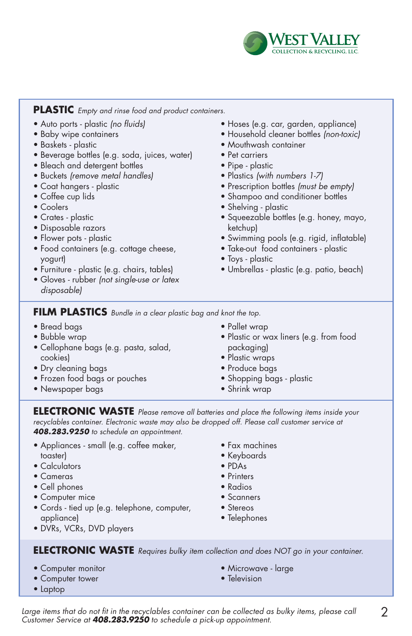

#### **PLASTIC** *Empty and rinse food and product containers.*

- Auto ports plastic *(no fluids)*
- Baby wipe containers
- Baskets plastic
- Beverage bottles (e.g. soda, juices, water)
- Bleach and detergent bottles
- Buckets *(remove metal handles)*
- Coat hangers plastic
- Coffee cup lids
- Coolers
- Crates plastic
- Disposable razors
- Flower pots plastic
- Food containers (e.g. cottage cheese, yogurt)
- Furniture plastic (e.g. chairs, tables)
- Gloves rubber *(not single-use or latex disposable)*
- Hoses (e.g. car, garden, appliance)
- Household cleaner bottles *(non-toxic)*
- Mouthwash container
- Pet carriers
- Pipe plastic
- Plastics *(with numbers 1-7)*
- Prescription bottles *(must be empty)*
- Shampoo and conditioner bottles
- Shelving plastic
- Squeezable bottles (e.g. honey, mayo, ketchup)
- Swimming pools (e.g. rigid, inflatable)
- Take-out food containers plastic
- Toys plastic
- Umbrellas plastic (e.g. patio, beach)

**FILM PLASTICS** *Bundle in a clear plastic bag and knot the top.*

- Bread bags
- Bubble wrap
- Cellophane bags (e.g. pasta, salad, cookies)
- Dry cleaning bags
- Frozen food bags or pouches
- Newspaper bags
- Pallet wrap
- Plastic or wax liners (e.g. from food packaging)
- Plastic wraps
- Produce bags
- Shopping bags plastic
- Shrink wrap

**ELECTRONIC WASTE** *Please remove all batteries and place the following items inside your recyclables container. Electronic waste may also be dropped off. Please call customer service at 408.283.9250 to schedule an appointment.*

- Appliances small (e.g. coffee maker, **toaster)**
- Calculators
- Cameras
- Cell phones
- Computer mice
- Cords tied up (e.g. telephone, computer, appliance)
- DVRs, VCRs, DVD players
- Fax machines
- Keyboards
- PDAs
- Printers
- Radios
- Scanners
- Stereos
- Telephones

**ELECTRONIC WASTE** *Requires bulky item collection and does NOT go in your container.*

- Computer monitor
- Computer tower
- Laptop
- Microwave large
- Television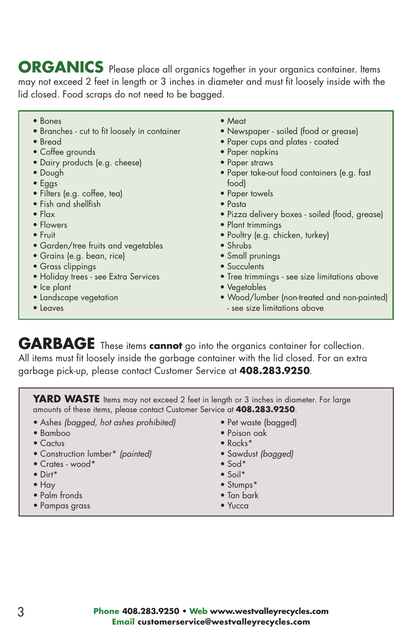**ORGANICS** Please place all organics together in your organics container. Items may not exceed 2 feet in length or 3 inches in diameter and must fit loosely inside with the lid closed. Food scraps do not need to be bagged.

- Bones
- Branches cut to fit loosely in container
- Bread
- Coffee grounds
- Dairy products (e.g. cheese)
- Dough
- Eggs
- Filters (e.g. coffee, tea)
- Fish and shellfish
- Flax
- Flowers
- Fruit
- Garden/tree fruits and vegetables
- Grains (e.g. bean, rice)
- Grass clippings
- Holiday trees see Extra Services
- Ice plant
- Landscape vegetation
- Leaves
- Meat
- Newspaper soiled (food or grease)
- Paper cups and plates coated
- Paper napkins
- Paper straws
- Paper take-out food containers (e.g. fast food)
- Paper towels
- Pasta
- Pizza delivery boxes soiled (food, grease)
- Plant trimmings
- Poultry (e.g. chicken, turkey)
- Shrubs
- Small prunings
- Succulents
- Tree trimmings see size limitations above
- Vegetables
- Wood/lumber (non-treated and non-painted)
- see size limitations above

**GARBAGE** These items **cannot** go into the organics container for collection. All items must fit loosely inside the garbage container with the lid closed. For an extra garbage pick-up, please contact Customer Service at **408.283.9250**.

YARD WASTE Items may not exceed 2 feet in length or 3 inches in diameter. For large amounts of these items, please contact Customer Service at **408.283.9250**.

- Ashes *(bagged, hot ashes prohibited)*
- Bamboo
- Cactus
- Construction lumber\* *(painted)*
- Crates wood\*
- Dirt\*
- Hay
- Palm fronds
- Pampas grass
- Pet waste (bagged)
- Poison oak
- Rocks\*
- Sawdust *(bagged)*
- Sod\*
- Soil\* • Stumps\*
- Tan bark
- 
- Yucca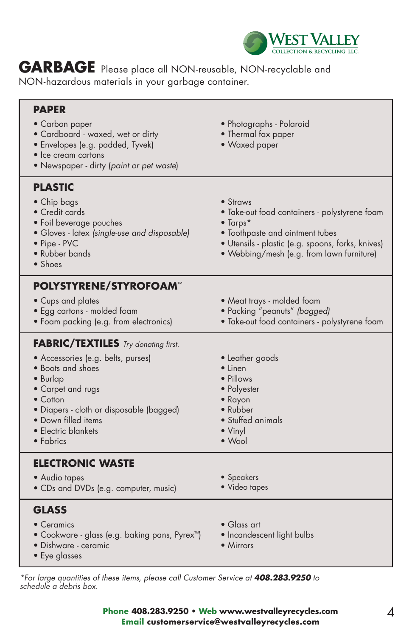

**GARBAGE** Please place all NON-reusable, NON-recyclable and NON-hazardous materials in your garbage container.

| <b>PAPER</b><br>• Carbon paper<br>• Cardboard - waxed, wet or dirty<br>· Envelopes (e.g. padded, Tyvek)<br>• Ice cream cartons<br>• Newspaper - dirty (paint or pet waste)                                                                                        | · Photographs - Polaroid<br>• Thermal fax paper<br>• Waxed paper                                                                                                                                                   |
|-------------------------------------------------------------------------------------------------------------------------------------------------------------------------------------------------------------------------------------------------------------------|--------------------------------------------------------------------------------------------------------------------------------------------------------------------------------------------------------------------|
| <b>PLASTIC</b><br>• Chip bags<br>• Credit cards<br>· Foil beverage pouches<br>· Gloves - latex (single-use and disposable)<br>• Pipe - PVC<br>• Rubber bands<br>$\bullet$ Shoes                                                                                   | • Straws<br>• Take-out food containers - polystyrene foam<br>$\bullet$ Tarps*<br>• Toothpaste and ointment tubes<br>· Utensils - plastic (e.g. spoons, forks, knives)<br>• Webbing/mesh (e.g. from lawn furniture) |
| <b>POLYSTYRENE/STYROFOAM™</b><br>• Cups and plates<br>· Egg cartons - molded foam<br>• Foam packing (e.g. from electronics)                                                                                                                                       | • Meat trays - molded foam<br>· Packing "peanuts" (bagged)<br>· Take-out food containers - polystyrene foam                                                                                                        |
| <b>FABRIC/TEXTILES</b> Try donating first.<br>• Accessories (e.g. belts, purses)<br>• Boots and shoes<br>· Burlap<br>• Carpet and rugs<br>$\bullet$ Cotton<br>· Diapers - cloth or disposable (bagged)<br>• Down filled items<br>• Electric blankets<br>• Fabrics | • Leather goods<br>$\bullet$ Linen<br>• Pillows<br>• Polyester<br>• Rayon<br>• Rubber<br>• Stuffed animals<br>• Vinyl<br>• Wool                                                                                    |
| <b>ELECTRONIC WASTE</b><br>• Audio tapes<br>· CDs and DVDs (e.g. computer, music)                                                                                                                                                                                 | • Speakers<br>· Video tapes                                                                                                                                                                                        |
| <b>GLASS</b><br>• Ceramics<br>• Cookware - glass (e.g. baking pans, Pyrex <sup>™</sup> )<br>• Dishware - ceramic<br>• Eye glasses                                                                                                                                 | $\bullet$ Glass art<br>· Incandescent light bulbs<br>• Mirrors                                                                                                                                                     |

*\*For large quantities of these items, please call Customer Service at 408.283.9250 to schedule a debris box.*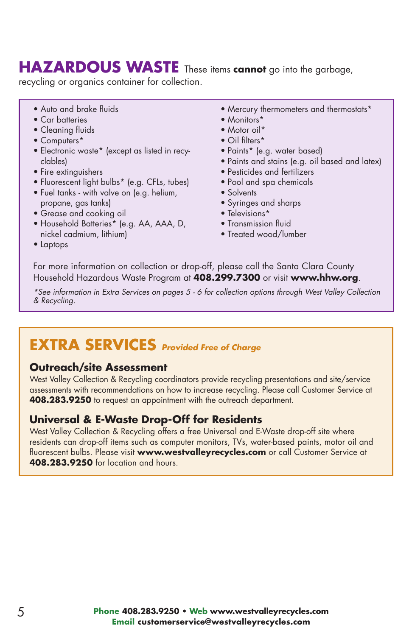## **HAZARDOUS WASTE** These items **cannot** go into the garbage,

recycling or organics container for collection.

- Auto and brake fluids
- Car batteries
- Cleaning fluids
- Computers\*
- Electronic waste\* (except as listed in recyclables)
- Fire extinguishers
- Fluorescent light bulbs\* (e.g. CFLs, tubes)
- Fuel tanks with valve on (e.g. helium, propane, gas tanks)
- Grease and cooking oil
- Household Batteries\* (e.g. AA, AAA, D, nickel cadmium, lithium)
- Mercury thermometers and thermostats\*
- Monitors\*
- Motor oil\*
- Oil filters\*
- Paints\* (e.g. water based)
- Paints and stains (e.g. oil based and latex)
- Pesticides and fertilizers
- Pool and spa chemicals
- Solvents
- Syringes and sharps
- Televisions\*
- Transmission fluid
- Treated wood/lumber

• Laptops

For more information on collection or drop-off, please call the Santa Clara County Household Hazardous Waste Program at **408.299.7300** or visit **www.hhw.org**.

*\*See information in Extra Services on pages 5 - 6 for collection options through West Valley Collection & Recycling.*

## **EXTRA SERVICES** *Provided Free of Charge*

#### **Outreach/site Assessment**

West Valley Collection & Recycling coordinators provide recycling presentations and site/service assessments with recommendations on how to increase recycling. Please call Customer Service at **408.283.9250** to request an appointment with the outreach department.

#### **Universal & E-Waste Drop-Off for Residents**

West Valley Collection & Recycling offers a free Universal and E-Waste drop-off site where residents can drop-off items such as computer monitors, TVs, water-based paints, motor oil and fluorescent bulbs. Please visit **www.westvalleyrecycles.com** or call Customer Service at **408.283.9250** for location and hours.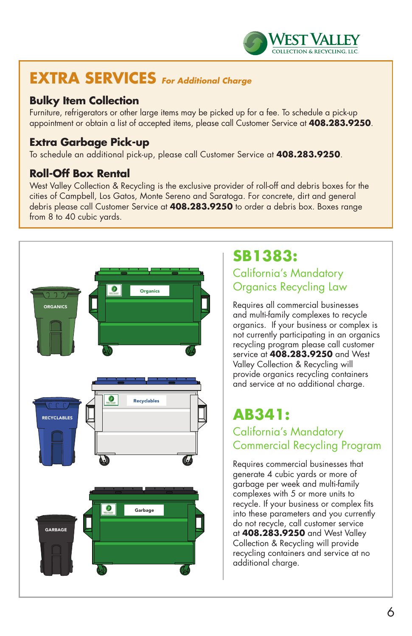

## **EXTRA SERVICES** *For Additional Charge*

#### **Bulky Item Collection**

Furniture, refrigerators or other large items may be picked up for a fee. To schedule a pick-up appointment or obtain a list of accepted items, please call Customer Service at **408.283.9250**.

## **Extra Garbage Pick-up**

To schedule an additional pick-up, please call Customer Service at **408.283.9250**.

#### **Roll-Off Box Rental**

West Valley Collection & Recycling is the exclusive provider of roll-off and debris boxes for the cities of Campbell, Los Gatos, Monte Sereno and Saratoga. For concrete, dirt and general debris please call Customer Service at **408.283.9250** to order a debris box. Boxes range from 8 to 40 cubic yards.



## **SB1383:**

## California's Mandatory Organics Recycling Law

Requires all commercial businesses and multi-family complexes to recycle organics. If your business or complex is not currently participating in an organics recycling program please call customer service at **408.283.9250** and West Valley Collection & Recycling will provide organics recycling containers and service at no additional charge.

## **AB341:**

## California's Mandatory Commercial Recycling Program

Requires commercial businesses that generate 4 cubic yards or more of garbage per week and multi-family complexes with 5 or more units to recycle. If your business or complex fits into these parameters and you currently do not recycle, call customer service at **408.283.9250** and West Valley Collection & Recycling will provide recycling containers and service at no additional charge.